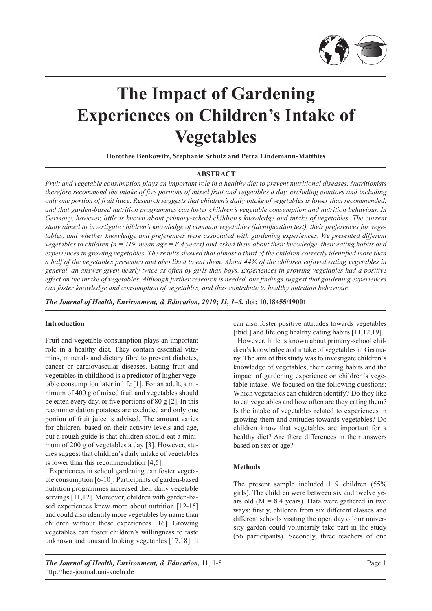

# **The Impact of Gardening Experiences on Children's Intake of Vegetables**

**Dorothee Benkowitz, Stephanie Schulz and Petra Lindemann-Matthies**

#### **ABSTRACT**

*Fruit and vegetable consumption plays an important role in a healthy diet to prevent nutritional diseases. Nutritionists therefore recommend the intake of five portions of mixed fruit and vegetables a day, excluding potatoes and including only one portion of fruit juice. Research suggests that children's daily intake of vegetables is lower than recommended, and that garden-based nutrition programmes can foster children's vegetable consumption and nutrition behaviour. In Germany, however, little is known about primary-school children's knowledge and intake of vegetables. The current study aimed to investigate children's knowledge of common vegetables (identification test), their preferences for vegetables, and whether knowledge and preferences were associated with gardening experiences. We presented different vegetables to children (n = 119, mean age = 8.4 years) and asked them about their knowledge, their eating habits and experiences in growing vegetables. The results showed that almost a third of the children correctly identified more than a half of the vegetables presented and also liked to eat them. About 44% of the children enjoyed eating vegetables in general, an answer given nearly twice as often by girls than boys. Experiences in growing vegetables had a positive effect on the intake of vegetables. Although further research is needed, our findings suggest that gardening experiences can foster knowledge and consumption of vegetables, and thus contribute to healthy nutrition behaviour.*

*The Journal of Health, Environment, & Education, 2019***;** *11, 1–5.* **doi: 10.18455/19001**

## **Introduction**

Fruit and vegetable consumption plays an important role in a healthy diet. They contain essential vitamins, minerals and dietary fibre to prevent diabetes, cancer or cardiovascular diseases. Eating fruit and vegetables in childhood is a predictor of higher vegetable consumption later in life [1]. For an adult, a minimum of 400 g of mixed fruit and vegetables should be eaten every day, or five portions of 80 g [2]. In this recommendation potatoes are excluded and only one portion of fruit juice is advised. The amount varies for children, based on their activity levels and age, but a rough guide is that children should eat a minimum of 200 g of vegetables a day [3]. However, studies suggest that children's daily intake of vegetables is lower than this recommendation [4,5].

Experiences in school gardening can foster vegetable consumption [6-10]. Participants of garden-based nutrition programmes increased their daily vegetable servings [11,12]. Moreover, children with garden-based experiences knew more about nutrition [12-15] and could also identify more vegetables by name than children without these experiences [16]. Growing vegetables can foster children's willingness to taste unknown and unusual looking vegetables [17,18]. It can also foster positive attitudes towards vegetables [ibid.] and lifelong healthy eating habits [11,12,19].

However, little is known about primary-school children's knowledge and intake of vegetables in Germany. The aim of this study was to investigate children´s knowledge of vegetables, their eating habits and the impact of gardening experience on children´s vegetable intake. We focused on the following questions: Which vegetables can children identify? Do they like to eat vegetables and how often are they eating them? Is the intake of vegetables related to experiences in growing them and attitudes towards vegetables? Do children know that vegetables are important for a healthy diet? Are there differences in their answers based on sex or age?

#### **Methods**

The present sample included 119 children (55% girls). The children were between six and twelve years old ( $M = 8.4$  years). Data were gathered in two ways: firstly, children from six different classes and different schools visiting the open day of our university garden could voluntarily take part in the study (56 participants). Secondly, three teachers of one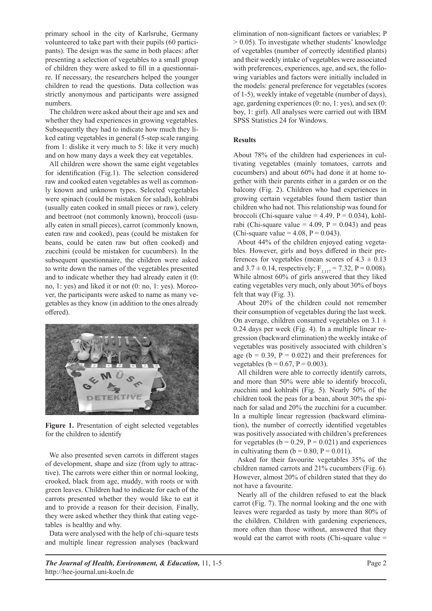primary school in the city of Karlsruhe, Germany volunteered to take part with their pupils (60 participants). The design was the same in both places: after presenting a selection of vegetables to a small group of children they were asked to fill in a questionnaire. If necessary, the researchers helped the younger children to read the questions. Data collection was strictly anonymous and participants were assigned numbers.

The children were asked about their age and sex and whether they had experiences in growing vegetables. Subsequently they had to indicate how much they liked eating vegetables in general (5-step scale ranging from 1: dislike it very much to 5: like it very much) and on how many days a week they eat vegetables.

All children were shown the same eight vegetables for identification (Fig.1). The selection considered raw and cooked eaten vegetables as well as commonly known and unknown types. Selected vegetables were spinach (could be mistaken for salad), kohlrabi (usually eaten cooked in small pieces or raw), celery and beetroot (not commonly known), broccoli (usually eaten in small pieces), carrot (commonly known, eaten raw and cooked), peas (could be mistaken for beans, could be eaten raw but often cooked) and zucchini (could be mistaken for cucumbers). In the subsequent questionnaire, the children were asked to write down the names of the vegetables presented and to indicate whether they had already eaten it (0: no, 1: yes) and liked it or not (0: no, 1: yes). Moreover, the participants were asked to name as many vegetables as they know (in addition to the ones already offered).



**Figure 1.** Presentation of eight selected vegetables for the children to identify

We also presented seven carrots in different stages of development, shape and size (from ugly to attractive). The carrots were either thin or normal looking, crooked, black from age, muddy, with roots or with green leaves. Children had to indicate for each of the carrots presented whether they would like to eat it and to provide a reason for their decision. Finally, they were asked whether they think that eating vegetables is healthy and why.

Data were analysed with the help of chi-square tests and multiple linear regression analyses (backward elimination of non-significant factors or variables; P > 0.05). To investigate whether students' knowledge of vegetables (number of correctly identified plants) and their weekly intake of vegetables were associated with preferences, experiences, age, and sex, the following variables and factors were initially included in the models: general preference for vegetables (scores of 1-5), weekly intake of vegetable (number of days), age, gardening experiences (0: no, 1: yes), and sex (0: boy, 1: girl). All analyses were carried out with IBM SPSS Statistics 24 for Windows.

## **Results**

About 78% of the children had experiences in cultivating vegetables (mainly tomatoes, carrots and cucumbers) and about 60% had done it at home together with their parents either in a garden or on the balcony (Fig. 2). Children who had experiences in growing certain vegetables found them tastier than children who had not. This relationship was found for broccoli (Chi-square value =  $4.49$ , P = 0.034), kohlrabi (Chi-square value = 4.09,  $P = 0.043$ ) and peas (Chi-square value =  $4.08$ , P = 0.043).

About 44% of the children enjoyed eating vegetables. However, girls and boys differed in their preferences for vegetables (mean scores of  $4.3 \pm 0.13$ ) and  $3.7 \pm 0.14$ , respectively;  $F_{1,117} = 7.32$ ,  $P = 0.008$ ). While almost 60% of girls answered that they liked eating vegetables very much, only about 30% of boys felt that way (Fig. 3).

About 20% of the children could not remember their consumption of vegetables during the last week. On average, children consumed vegetables on  $3.1 \pm$ 0.24 days per week (Fig. 4). In a multiple linear regression (backward elimination) the weekly intake of vegetables was positively associated with children's age ( $b = 0.39$ ,  $P = 0.022$ ) and their preferences for vegetables ( $b = 0.67$ ,  $P = 0.003$ ).

All children were able to correctly identify carrots, and more than 50% were able to identify broccoli, zucchini and kohlrabi (Fig. 5). Nearly 50% of the children took the peas for a bean, about 30% the spinach for salad and 20% the zucchini for a cucumber. In a multiple linear regression (backward elimination), the number of correctly identified vegetables was positively associated with children's preferences for vegetables ( $b = 0.29$ ,  $P = 0.021$ ) and experiences in cultivating them ( $b = 0.80$ ,  $P = 0.011$ ).

Asked for their favourite vegetables 35% of the children named carrots and 21% cucumbers (Fig. 6). However, almost 20% of children stated that they do not have a favourite.

Nearly all of the children refused to eat the black carrot (Fig. 7). The normal looking and the one with leaves were regarded as tasty by more than 80% of the children. Children with gardening experiences, more often than those without, answered that they would eat the carrot with roots (Chi-square value =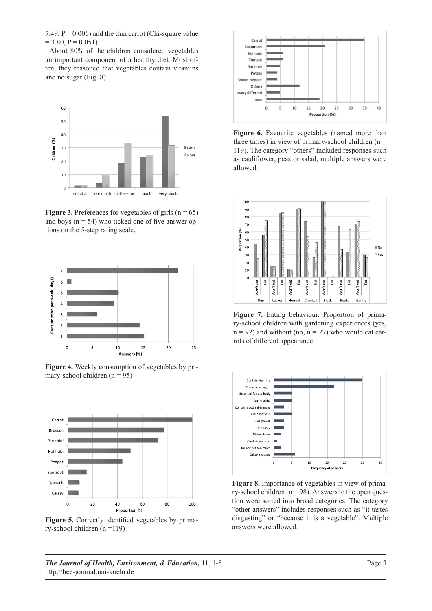7.49,  $P = 0.006$ ) and the thin carrot (Chi-square value  $= 3.80, P = 0.051$ .

About 80% of the children considered vegetables an important component of a healthy diet. Most often, they reasoned that vegetables contain vitamins and no sugar (Fig. 8).



**Figure 3.** Preferences for vegetables of girls  $(n = 65)$ and boys ( $n = 54$ ) who ticked one of five answer options on the 5-step rating scale.



**Figure 4.** Weekly consumption of vegetables by primary-school children  $(n = 95)$ 



Figure 5. Correctly identified vegetables by primary-school children (n =119)



**Figure 6.** Favourite vegetables (named more than three times) in view of primary-school children ( $n =$ 119). The category "others" included responses such as cauliflower, peas or salad, multiple answers were allowed.



**Figure 7.** Eating behaviour. Proportion of primary-school children with gardening experiences (yes,  $n = 92$ ) and without (no,  $n = 27$ ) who would eat carrots of different appearance.



**Figure 8.** Importance of vegetables in view of primary-school children ( $n = 98$ ). Answers to the open question were sorted into broad categories. The category "other answers" includes responses such as "it tastes disgusting" or "because it is a vegetable". Multiple answers were allowed.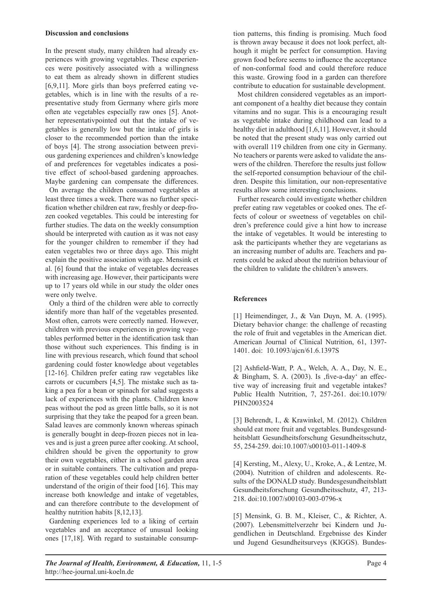#### **Discussion and conclusions**

In the present study, many children had already experiences with growing vegetables. These experiences were positively associated with a willingness to eat them as already shown in different studies [6,9,11]. More girls than boys preferred eating vegetables, which is in line with the results of a representative study from Germany where girls more often ate vegetables especially raw ones [5]. Another representativpointed out that the intake of vegetables is generally low but the intake of girls is closer to the recommended portion than the intake of boys [4]. The strong association between previous gardening experiences and children's knowledge of and preferences for vegetables indicates a positive effect of school-based gardening approaches. Maybe gardening can compensate the differences.

On average the children consumed vegetables at least three times a week. There was no further specification whether children eat raw, freshly or deep-frozen cooked vegetables. This could be interesting for further studies. The data on the weekly consumption should be interpreted with caution as it was not easy for the younger children to remember if they had eaten vegetables two or three days ago. This might explain the positive association with age. Mensink et al. [6] found that the intake of vegetables decreases with increasing age. However, their participants were up to 17 years old while in our study the older ones were only twelve.

Only a third of the children were able to correctly identify more than half of the vegetables presented. Most often, carrots were correctly named. However, children with previous experiences in growing vegetables performed better in the identification task than those without such experiences. This finding is in line with previous research, which found that school gardening could foster knowledge about vegetables [12-16]. Children prefer eating raw vegetables like carrots or cucumbers [4,5]. The mistake such as taking a pea for a bean or spinach for salad suggests a lack of experiences with the plants. Children know peas without the pod as green little balls, so it is not surprising that they take the peapod for a green bean. Salad leaves are commonly known whereas spinach is generally bought in deep-frozen pieces not in leaves and is just a green puree after cooking. At school, children should be given the opportunity to grow their own vegetables, either in a school garden area or in suitable containers. The cultivation and preparation of these vegetables could help children better understand of the origin of their food [16]. This may increase both knowledge and intake of vegetables, and can therefore contribute to the development of healthy nutrition habits [8,12,13].

Gardening experiences led to a liking of certain vegetables and an acceptance of unusual looking ones [17,18]. With regard to sustainable consumption patterns, this finding is promising. Much food is thrown away because it does not look perfect, although it might be perfect for consumption. Having grown food before seems to influence the acceptance of non-conformal food and could therefore reduce this waste. Growing food in a garden can therefore contribute to education for sustainable development.

Most children considered vegetables as an important component of a healthy diet because they contain vitamins and no sugar. This is a encouraging result as vegetable intake during childhood can lead to a healthy diet in adulthood [1,6,11]. However, it should be noted that the present study was only carried out with overall 119 children from one city in Germany. No teachers or parents were asked to validate the answers of the children. Therefore the results just follow the self-reported consumption behaviour of the children. Despite this limitation, our non-representative results allow some interesting conclusions.

Further research could investigate whether children prefer eating raw vegetables or cooked ones. The effects of colour or sweetness of vegetables on children's preference could give a hint how to increase the intake of vegetables. It would be interesting to ask the participants whether they are vegetarians as an increasing number of adults are. Teachers and parents could be asked about the nutrition behaviour of the children to validate the children's answers.

### **References**

[1] Heimendinger, J., & Van Duyn, M. A. (1995). Dietary behavior change: the challenge of recasting the role of fruit and vegetables in the American diet. American Journal of Clinical Nutrition, 61, 1397- 1401. doi: 10.1093/ajcn/61.6.1397S

[2] Ashfield-Watt, P. A., Welch, A. A., Day, N. E., & Bingham, S. A.  $(2003)$ . Is , five-a-day' an effective way of increasing fruit and vegetable intakes? Public Health Nutrition, 7, 257-261. doi:10.1079/ PHN2003524

[3] Behrendt, I., & Krawinkel, M. (2012). Children should eat more fruit and vegetables. Bundesgesundheitsblatt Gesundheitsforschung Gesundheitsschutz, 55, 254-259. doi:10.1007/s00103-011-1409-8

[4] Kersting, M., Alexy, U., Kroke, A., & Lentze, M. (2004). Nutrition of children and adolescents. Results of the DONALD study. Bundesgesundheitsblatt Gesundheitsforschung Gesundheitsschutz, 47, 213- 218. doi:10.1007/s00103-003-0796-x

[5] Mensink, G. B. M., Kleiser, C., & Richter, A. (2007). Lebensmittelverzehr bei Kindern und Jugendlichen in Deutschland. Ergebnisse des Kinder und Jugend Gesundheitsurveys (KIGGS). Bundes-